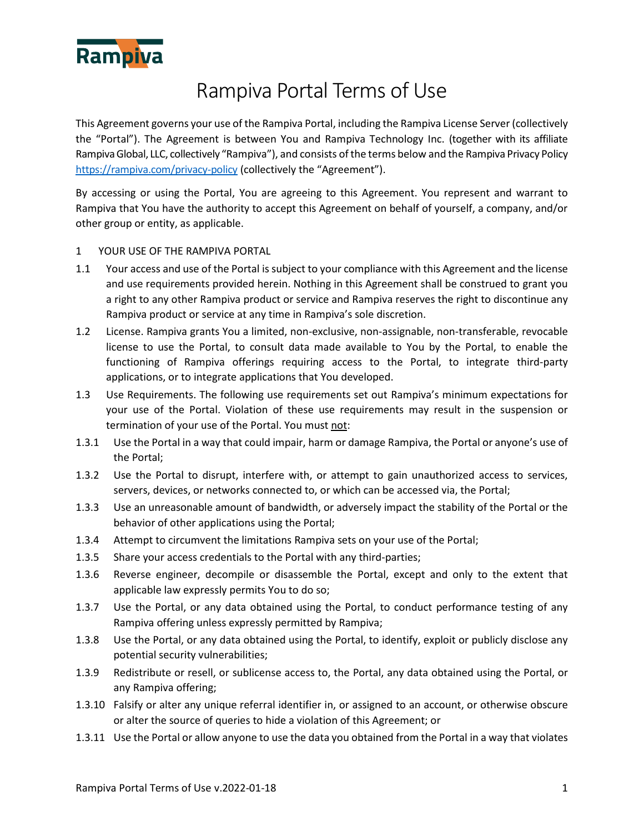

# Rampiva Portal Terms of Use

This Agreement governs your use of the Rampiva Portal, including the Rampiva License Server (collectively the "Portal"). The Agreement is between You and Rampiva Technology Inc. (together with its affiliate Rampiva Global, LLC, collectively "Rampiva"), and consists of the terms below and the Rampiva Privacy Policy <https://rampiva.com/privacy-policy> (collectively the "Agreement").

By accessing or using the Portal, You are agreeing to this Agreement. You represent and warrant to Rampiva that You have the authority to accept this Agreement on behalf of yourself, a company, and/or other group or entity, as applicable.

- 1 YOUR USE OF THE RAMPIVA PORTAL
- 1.1 Your access and use of the Portal is subject to your compliance with this Agreement and the license and use requirements provided herein. Nothing in this Agreement shall be construed to grant you a right to any other Rampiva product or service and Rampiva reserves the right to discontinue any Rampiva product or service at any time in Rampiva's sole discretion.
- 1.2 License. Rampiva grants You a limited, non-exclusive, non-assignable, non-transferable, revocable license to use the Portal, to consult data made available to You by the Portal, to enable the functioning of Rampiva offerings requiring access to the Portal, to integrate third-party applications, or to integrate applications that You developed.
- 1.3 Use Requirements. The following use requirements set out Rampiva's minimum expectations for your use of the Portal. Violation of these use requirements may result in the suspension or termination of your use of the Portal. You must not:
- 1.3.1 Use the Portal in a way that could impair, harm or damage Rampiva, the Portal or anyone's use of the Portal;
- 1.3.2 Use the Portal to disrupt, interfere with, or attempt to gain unauthorized access to services, servers, devices, or networks connected to, or which can be accessed via, the Portal;
- 1.3.3 Use an unreasonable amount of bandwidth, or adversely impact the stability of the Portal or the behavior of other applications using the Portal;
- 1.3.4 Attempt to circumvent the limitations Rampiva sets on your use of the Portal;
- 1.3.5 Share your access credentials to the Portal with any third-parties;
- 1.3.6 Reverse engineer, decompile or disassemble the Portal, except and only to the extent that applicable law expressly permits You to do so;
- 1.3.7 Use the Portal, or any data obtained using the Portal, to conduct performance testing of any Rampiva offering unless expressly permitted by Rampiva;
- 1.3.8 Use the Portal, or any data obtained using the Portal, to identify, exploit or publicly disclose any potential security vulnerabilities;
- 1.3.9 Redistribute or resell, or sublicense access to, the Portal, any data obtained using the Portal, or any Rampiva offering;
- 1.3.10 Falsify or alter any unique referral identifier in, or assigned to an account, or otherwise obscure or alter the source of queries to hide a violation of this Agreement; or
- 1.3.11 Use the Portal or allow anyone to use the data you obtained from the Portal in a way that violates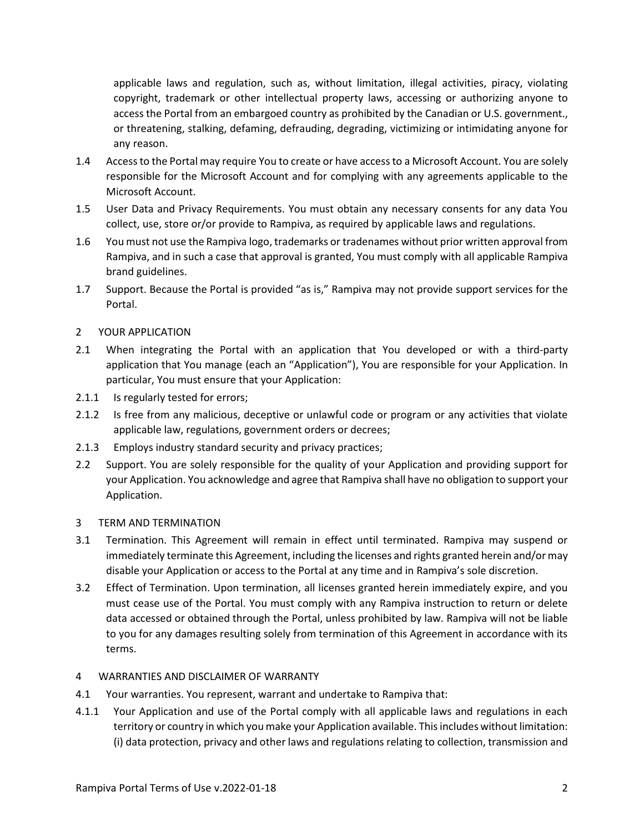applicable laws and regulation, such as, without limitation, illegal activities, piracy, violating copyright, trademark or other intellectual property laws, accessing or authorizing anyone to access the Portal from an embargoed country as prohibited by the Canadian or U.S. government., or threatening, stalking, defaming, defrauding, degrading, victimizing or intimidating anyone for any reason.

- 1.4 Access to the Portal may require You to create or have access to a Microsoft Account. You are solely responsible for the Microsoft Account and for complying with any agreements applicable to the Microsoft Account.
- 1.5 User Data and Privacy Requirements. You must obtain any necessary consents for any data You collect, use, store or/or provide to Rampiva, as required by applicable laws and regulations.
- 1.6 You must not use the Rampiva logo, trademarks or tradenames without prior written approval from Rampiva, and in such a case that approval is granted, You must comply with all applicable Rampiva brand guidelines.
- 1.7 Support. Because the Portal is provided "as is," Rampiva may not provide support services for the Portal.

## 2 YOUR APPLICATION

- 2.1 When integrating the Portal with an application that You developed or with a third-party application that You manage (each an "Application"), You are responsible for your Application. In particular, You must ensure that your Application:
- 2.1.1 Is regularly tested for errors;
- 2.1.2 Is free from any malicious, deceptive or unlawful code or program or any activities that violate applicable law, regulations, government orders or decrees;
- 2.1.3 Employs industry standard security and privacy practices;
- 2.2 Support. You are solely responsible for the quality of your Application and providing support for your Application. You acknowledge and agree that Rampiva shall have no obligation to support your Application.

#### 3 TERM AND TERMINATION

- 3.1 Termination. This Agreement will remain in effect until terminated. Rampiva may suspend or immediately terminate this Agreement, including the licenses and rights granted herein and/or may disable your Application or access to the Portal at any time and in Rampiva's sole discretion.
- 3.2 Effect of Termination. Upon termination, all licenses granted herein immediately expire, and you must cease use of the Portal. You must comply with any Rampiva instruction to return or delete data accessed or obtained through the Portal, unless prohibited by law. Rampiva will not be liable to you for any damages resulting solely from termination of this Agreement in accordance with its terms.

#### 4 WARRANTIES AND DISCLAIMER OF WARRANTY

- 4.1 Your warranties. You represent, warrant and undertake to Rampiva that:
- 4.1.1 Your Application and use of the Portal comply with all applicable laws and regulations in each territory or country in which you make your Application available. This includes without limitation: (i) data protection, privacy and other laws and regulations relating to collection, transmission and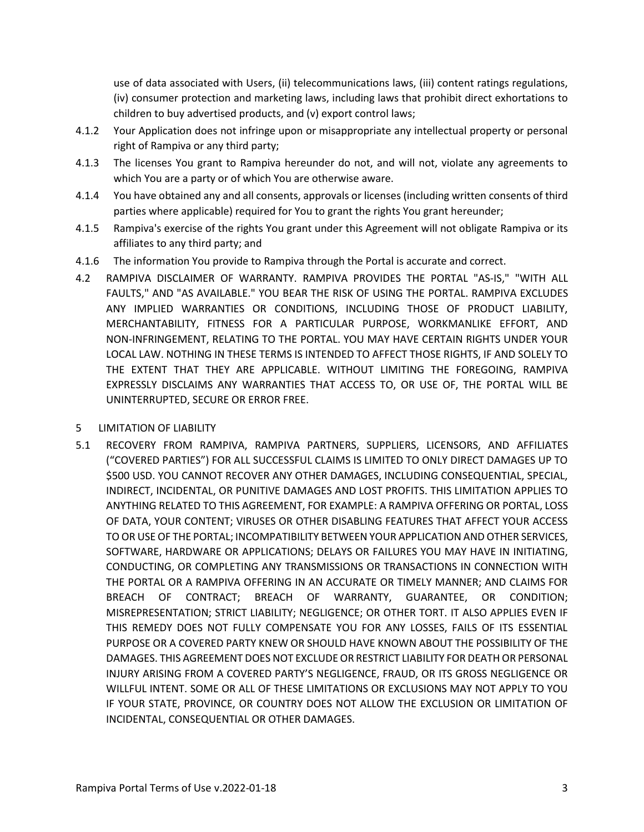use of data associated with Users, (ii) telecommunications laws, (iii) content ratings regulations, (iv) consumer protection and marketing laws, including laws that prohibit direct exhortations to children to buy advertised products, and (v) export control laws;

- 4.1.2 Your Application does not infringe upon or misappropriate any intellectual property or personal right of Rampiva or any third party;
- 4.1.3 The licenses You grant to Rampiva hereunder do not, and will not, violate any agreements to which You are a party or of which You are otherwise aware.
- 4.1.4 You have obtained any and all consents, approvals or licenses (including written consents of third parties where applicable) required for You to grant the rights You grant hereunder;
- 4.1.5 Rampiva's exercise of the rights You grant under this Agreement will not obligate Rampiva or its affiliates to any third party; and
- 4.1.6 The information You provide to Rampiva through the Portal is accurate and correct.
- 4.2 RAMPIVA DISCLAIMER OF WARRANTY. RAMPIVA PROVIDES THE PORTAL "AS-IS," "WITH ALL FAULTS," AND "AS AVAILABLE." YOU BEAR THE RISK OF USING THE PORTAL. RAMPIVA EXCLUDES ANY IMPLIED WARRANTIES OR CONDITIONS, INCLUDING THOSE OF PRODUCT LIABILITY, MERCHANTABILITY, FITNESS FOR A PARTICULAR PURPOSE, WORKMANLIKE EFFORT, AND NON-INFRINGEMENT, RELATING TO THE PORTAL. YOU MAY HAVE CERTAIN RIGHTS UNDER YOUR LOCAL LAW. NOTHING IN THESE TERMS IS INTENDED TO AFFECT THOSE RIGHTS, IF AND SOLELY TO THE EXTENT THAT THEY ARE APPLICABLE. WITHOUT LIMITING THE FOREGOING, RAMPIVA EXPRESSLY DISCLAIMS ANY WARRANTIES THAT ACCESS TO, OR USE OF, THE PORTAL WILL BE UNINTERRUPTED, SECURE OR ERROR FREE.
- 5 LIMITATION OF LIABILITY
- 5.1 RECOVERY FROM RAMPIVA, RAMPIVA PARTNERS, SUPPLIERS, LICENSORS, AND AFFILIATES ("COVERED PARTIES") FOR ALL SUCCESSFUL CLAIMS IS LIMITED TO ONLY DIRECT DAMAGES UP TO \$500 USD. YOU CANNOT RECOVER ANY OTHER DAMAGES, INCLUDING CONSEQUENTIAL, SPECIAL, INDIRECT, INCIDENTAL, OR PUNITIVE DAMAGES AND LOST PROFITS. THIS LIMITATION APPLIES TO ANYTHING RELATED TO THIS AGREEMENT, FOR EXAMPLE: A RAMPIVA OFFERING OR PORTAL, LOSS OF DATA, YOUR CONTENT; VIRUSES OR OTHER DISABLING FEATURES THAT AFFECT YOUR ACCESS TO OR USE OF THE PORTAL; INCOMPATIBILITY BETWEEN YOUR APPLICATION AND OTHER SERVICES, SOFTWARE, HARDWARE OR APPLICATIONS; DELAYS OR FAILURES YOU MAY HAVE IN INITIATING, CONDUCTING, OR COMPLETING ANY TRANSMISSIONS OR TRANSACTIONS IN CONNECTION WITH THE PORTAL OR A RAMPIVA OFFERING IN AN ACCURATE OR TIMELY MANNER; AND CLAIMS FOR BREACH OF CONTRACT; BREACH OF WARRANTY, GUARANTEE, OR CONDITION; MISREPRESENTATION; STRICT LIABILITY; NEGLIGENCE; OR OTHER TORT. IT ALSO APPLIES EVEN IF THIS REMEDY DOES NOT FULLY COMPENSATE YOU FOR ANY LOSSES, FAILS OF ITS ESSENTIAL PURPOSE OR A COVERED PARTY KNEW OR SHOULD HAVE KNOWN ABOUT THE POSSIBILITY OF THE DAMAGES. THIS AGREEMENT DOES NOT EXCLUDE OR RESTRICT LIABILITY FOR DEATH OR PERSONAL INJURY ARISING FROM A COVERED PARTY'S NEGLIGENCE, FRAUD, OR ITS GROSS NEGLIGENCE OR WILLFUL INTENT. SOME OR ALL OF THESE LIMITATIONS OR EXCLUSIONS MAY NOT APPLY TO YOU IF YOUR STATE, PROVINCE, OR COUNTRY DOES NOT ALLOW THE EXCLUSION OR LIMITATION OF INCIDENTAL, CONSEQUENTIAL OR OTHER DAMAGES.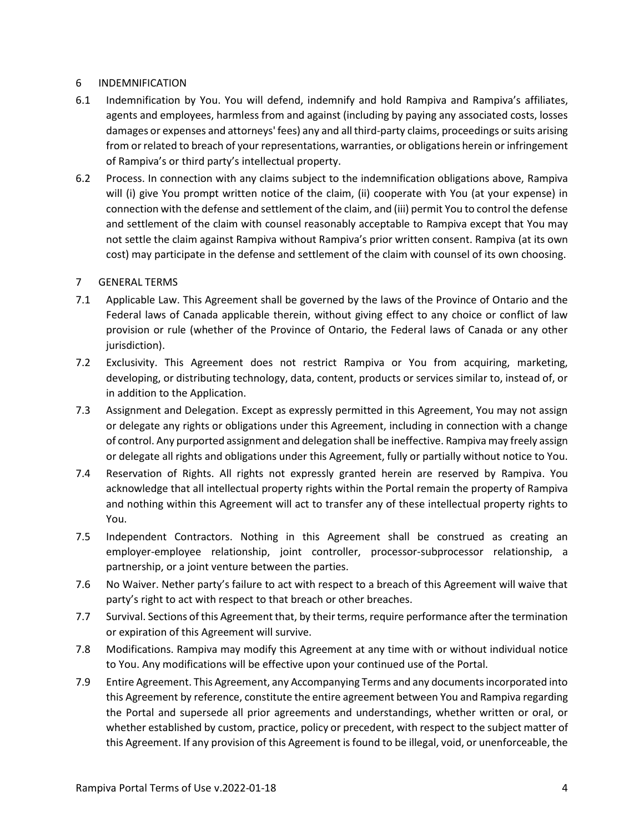## 6 INDEMNIFICATION

- 6.1 Indemnification by You. You will defend, indemnify and hold Rampiva and Rampiva's affiliates, agents and employees, harmless from and against (including by paying any associated costs, losses damages or expenses and attorneys' fees) any and all third-party claims, proceedings or suits arising from or related to breach of your representations, warranties, or obligations herein or infringement of Rampiva's or third party's intellectual property.
- 6.2 Process. In connection with any claims subject to the indemnification obligations above, Rampiva will (i) give You prompt written notice of the claim, (ii) cooperate with You (at your expense) in connection with the defense and settlement of the claim, and (iii) permit You to control the defense and settlement of the claim with counsel reasonably acceptable to Rampiva except that You may not settle the claim against Rampiva without Rampiva's prior written consent. Rampiva (at its own cost) may participate in the defense and settlement of the claim with counsel of its own choosing.

## 7 GENERAL TERMS

- 7.1 Applicable Law. This Agreement shall be governed by the laws of the Province of Ontario and the Federal laws of Canada applicable therein, without giving effect to any choice or conflict of law provision or rule (whether of the Province of Ontario, the Federal laws of Canada or any other jurisdiction).
- 7.2 Exclusivity. This Agreement does not restrict Rampiva or You from acquiring, marketing, developing, or distributing technology, data, content, products or services similar to, instead of, or in addition to the Application.
- 7.3 Assignment and Delegation. Except as expressly permitted in this Agreement, You may not assign or delegate any rights or obligations under this Agreement, including in connection with a change of control. Any purported assignment and delegation shall be ineffective. Rampiva may freely assign or delegate all rights and obligations under this Agreement, fully or partially without notice to You.
- 7.4 Reservation of Rights. All rights not expressly granted herein are reserved by Rampiva. You acknowledge that all intellectual property rights within the Portal remain the property of Rampiva and nothing within this Agreement will act to transfer any of these intellectual property rights to You.
- 7.5 Independent Contractors. Nothing in this Agreement shall be construed as creating an employer-employee relationship, joint controller, processor-subprocessor relationship, a partnership, or a joint venture between the parties.
- 7.6 No Waiver. Nether party's failure to act with respect to a breach of this Agreement will waive that party's right to act with respect to that breach or other breaches.
- 7.7 Survival. Sections of this Agreement that, by their terms, require performance after the termination or expiration of this Agreement will survive.
- 7.8 Modifications. Rampiva may modify this Agreement at any time with or without individual notice to You. Any modifications will be effective upon your continued use of the Portal.
- 7.9 Entire Agreement. This Agreement, any Accompanying Terms and any documents incorporated into this Agreement by reference, constitute the entire agreement between You and Rampiva regarding the Portal and supersede all prior agreements and understandings, whether written or oral, or whether established by custom, practice, policy or precedent, with respect to the subject matter of this Agreement. If any provision of this Agreement is found to be illegal, void, or unenforceable, the